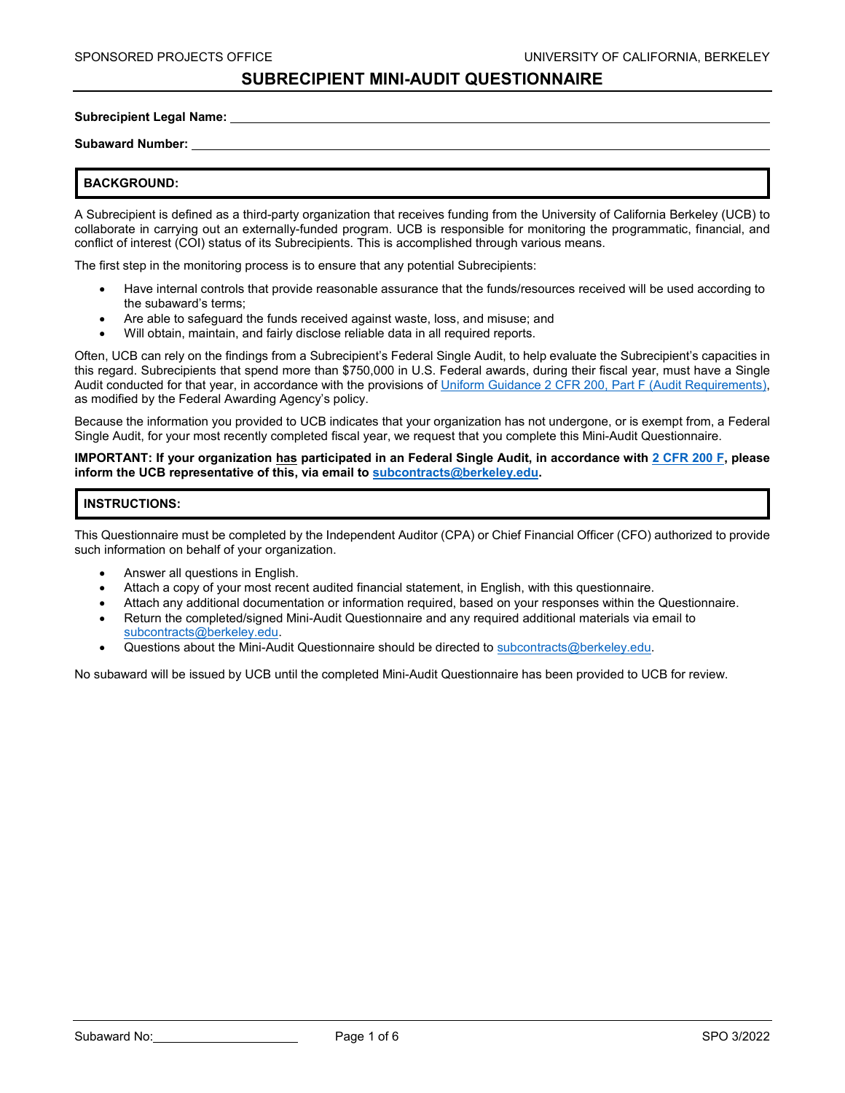#### **Subrecipient Legal Name:**

#### **Subaward Number:**

### **BACKGROUND:**

A Subrecipient is defined as a third-party organization that receives funding from the University of California Berkeley (UCB) to collaborate in carrying out an externally-funded program. UCB is responsible for monitoring the programmatic, financial, and conflict of interest (COI) status of its Subrecipients. This is accomplished through various means.

The first step in the monitoring process is to ensure that any potential Subrecipients:

- Have internal controls that provide reasonable assurance that the funds/resources received will be used according to the subaward's terms;
- Are able to safeguard the funds received against waste, loss, and misuse; and
- Will obtain, maintain, and fairly disclose reliable data in all required reports.

Often, UCB can rely on the findings from a Subrecipient's Federal Single Audit, to help evaluate the Subrecipient's capacities in this regard. Subrecipients that spend more than \$750,000 in U.S. Federal awards, during their fiscal year, must have a Single Audit conducted for that year, in accordance with the provisions o[f Uniform Guidance 2 CFR 200, Part F \(Audit Requirements\),](https://www.ecfr.gov/cgi-bin/text-idx?mc=true&node=sp2.1.200.f&rgn=div6) as modified by the Federal Awarding Agency's policy.

Because the information you provided to UCB indicates that your organization has not undergone, or is exempt from, a Federal Single Audit, for your most recently completed fiscal year, we request that you complete this Mini-Audit Questionnaire.

**IMPORTANT: If your organization has participated in an Federal Single Audit, in accordance wit[h 2 CFR 200 F,](https://www.ecfr.gov/cgi-bin/text-idx?mc=true&node=sp2.1.200.f&rgn=div6) please inform the UCB representative of this, via email to [subcontracts@berkeley.edu.](mailto:subcontracts@berkeley.edu)** 

#### **INSTRUCTIONS:**

This Questionnaire must be completed by the Independent Auditor (CPA) or Chief Financial Officer (CFO) authorized to provide such information on behalf of your organization.

- Answer all questions in English.
- Attach a copy of your most recent audited financial statement, in English, with this questionnaire.
- Attach any additional documentation or information required, based on your responses within the Questionnaire.
- Return the completed/signed Mini-Audit Questionnaire and any required additional materials via email to [subcontracts@berkeley.edu.](mailto:subcontracts@berkeley.edu)
- Questions about the Mini-Audit Questionnaire should be directed to [subcontracts@berkeley.edu.](mailto:subcontracts@berkeley.edu)

No subaward will be issued by UCB until the completed Mini-Audit Questionnaire has been provided to UCB for review.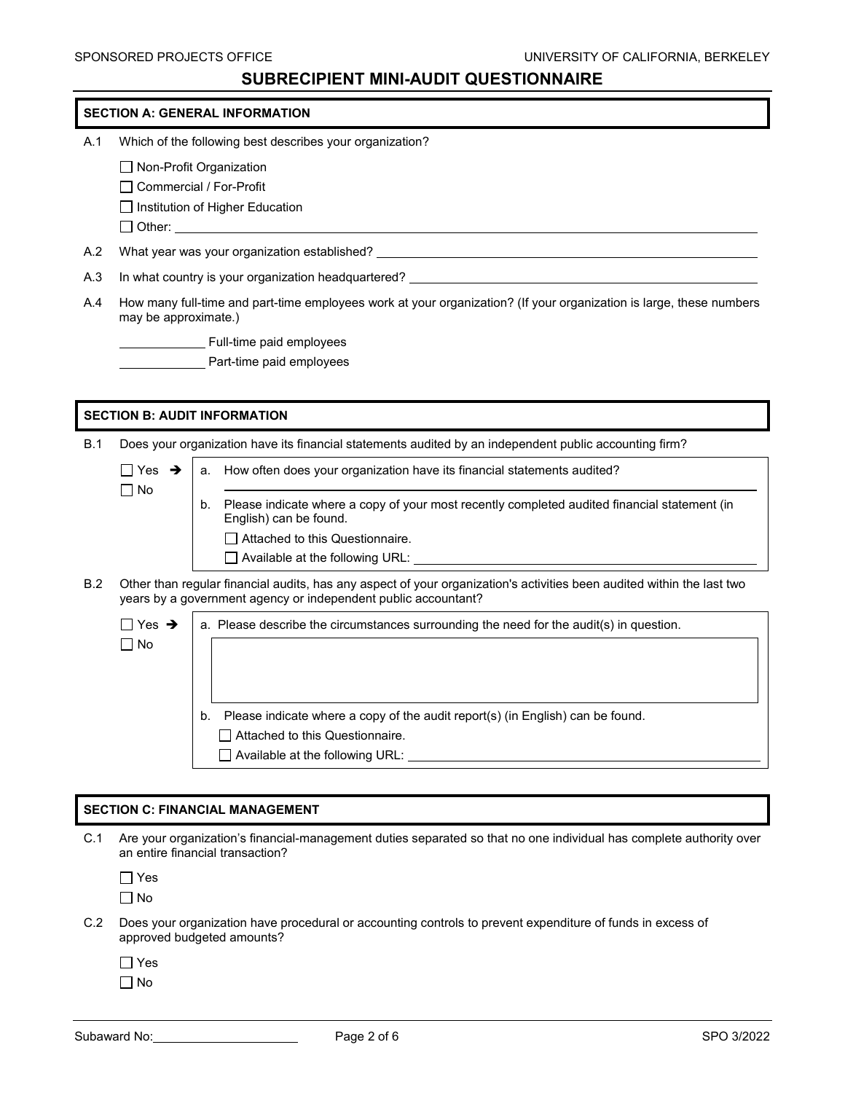### **SECTION A: GENERAL INFORMATION**

- A.1 Which of the following best describes your organization?
	- □ Non-Profit Organization
	- □ Commercial / For-Profit
	- $\Box$  Institution of Higher Education
	- $\Box$  Other:
- A.2 What year was your organization established?
- A.3 In what country is your organization headquartered?
- A.4 How many full-time and part-time employees work at your organization? (If your organization is large, these numbers may be approximate.)
	- Full-time paid employees
	- **Part-time paid employees**

#### **SECTION B: AUDIT INFORMATION**

B.1 Does your organization have its financial statements audited by an independent public accounting firm?

a. How often does your organization have its financial statements audited?

| ∏ Yes | → |
|-------|---|
| ∏ No  |   |
|       |   |

֦ b. Please indicate where a copy of your most recently completed audited financial statement (in English) can be found. □ Attached to this Questionnaire.

- Available at the following URL:
- B.2 Other than regular financial audits, has any aspect of your organization's activities been audited within the last two years by a government agency or independent public accountant?

 $\Box$  Yes  $\rightarrow$ No a. Please describe the circumstances surrounding the need for the audit(s) in question. b. Please indicate where a copy of the audit report(s) (in English) can be found. □ Attached to this Questionnaire. Available at the following URL:

#### **SECTION C: FINANCIAL MANAGEMENT**

C.1 Are your organization's financial-management duties separated so that no one individual has complete authority over an entire financial transaction?

 $\Box$  Yes

 $\Box$  No

- C.2 Does your organization have procedural or accounting controls to prevent expenditure of funds in excess of approved budgeted amounts?
	- Yes
	- $\Box$  No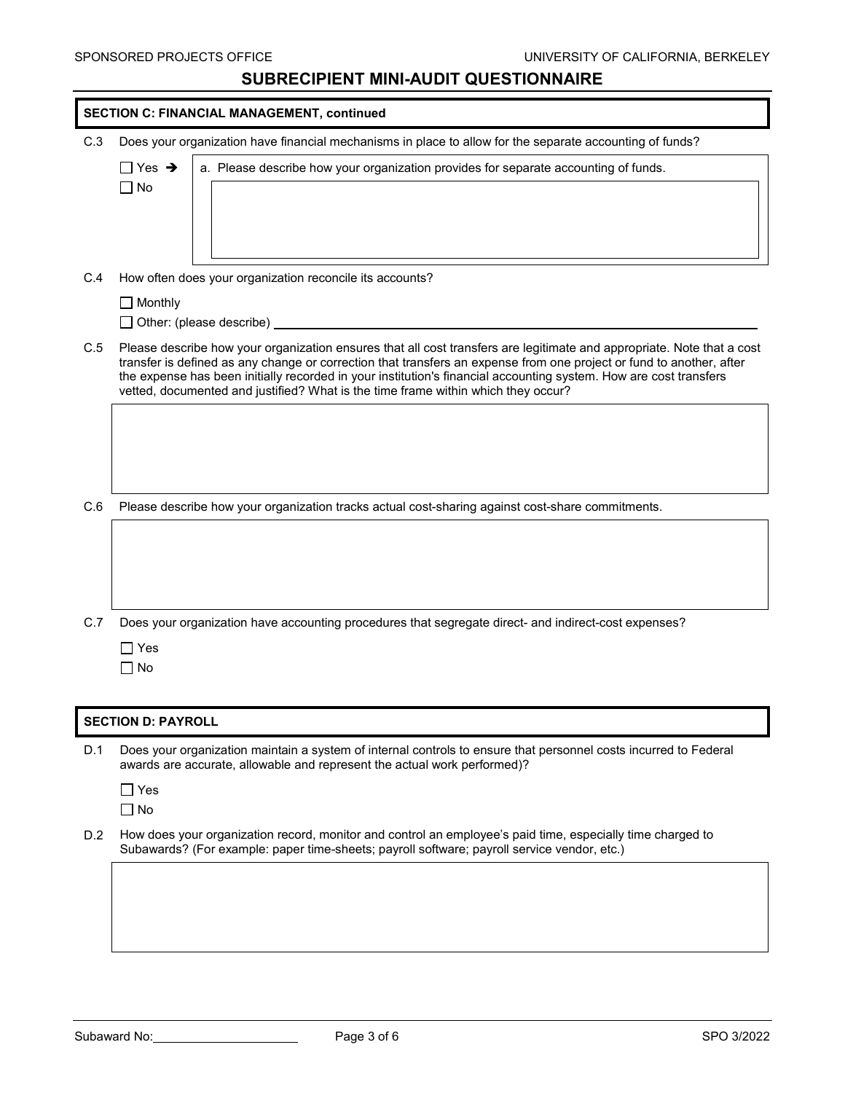| <b>SECTION C: FINANCIAL MANAGEMENT, continued</b> |                                                                                                                                                                                                                                                                                                                                                                                                                                                          |  |
|---------------------------------------------------|----------------------------------------------------------------------------------------------------------------------------------------------------------------------------------------------------------------------------------------------------------------------------------------------------------------------------------------------------------------------------------------------------------------------------------------------------------|--|
| C.3                                               | Does your organization have financial mechanisms in place to allow for the separate accounting of funds?                                                                                                                                                                                                                                                                                                                                                 |  |
|                                                   | $\sqcap$ Yes $\,\rightarrow$<br>a. Please describe how your organization provides for separate accounting of funds.<br>$\Box$ No                                                                                                                                                                                                                                                                                                                         |  |
| C.4                                               | How often does your organization reconcile its accounts?                                                                                                                                                                                                                                                                                                                                                                                                 |  |
|                                                   | $\Box$ Monthly<br>◯ Other: (please describe) ____________________________                                                                                                                                                                                                                                                                                                                                                                                |  |
| C.5                                               | Please describe how your organization ensures that all cost transfers are legitimate and appropriate. Note that a cost<br>transfer is defined as any change or correction that transfers an expense from one project or fund to another, after<br>the expense has been initially recorded in your institution's financial accounting system. How are cost transfers<br>vetted, documented and justified? What is the time frame within which they occur? |  |
|                                                   |                                                                                                                                                                                                                                                                                                                                                                                                                                                          |  |
| C.6                                               | Please describe how your organization tracks actual cost-sharing against cost-share commitments.                                                                                                                                                                                                                                                                                                                                                         |  |
|                                                   |                                                                                                                                                                                                                                                                                                                                                                                                                                                          |  |
| C.7                                               | Does your organization have accounting procedures that segregate direct- and indirect-cost expenses?                                                                                                                                                                                                                                                                                                                                                     |  |
|                                                   | $\sqsupset$ Yes<br>$\Box$ No                                                                                                                                                                                                                                                                                                                                                                                                                             |  |
|                                                   |                                                                                                                                                                                                                                                                                                                                                                                                                                                          |  |
|                                                   | <b>SECTION D: PAYROLL</b>                                                                                                                                                                                                                                                                                                                                                                                                                                |  |
| D.1                                               | Does your organization maintain a system of internal controls to ensure that personnel costs incurred to Federal<br>awards are accurate, allowable and represent the actual work performed)?                                                                                                                                                                                                                                                             |  |
|                                                   | $\Box$ Yes<br>$\Box$ No                                                                                                                                                                                                                                                                                                                                                                                                                                  |  |
| D.2                                               | How does your organization record, monitor and control an employee's paid time, especially time charged to<br>Subawards? (For example: paper time-sheets; payroll software; payroll service vendor, etc.)                                                                                                                                                                                                                                                |  |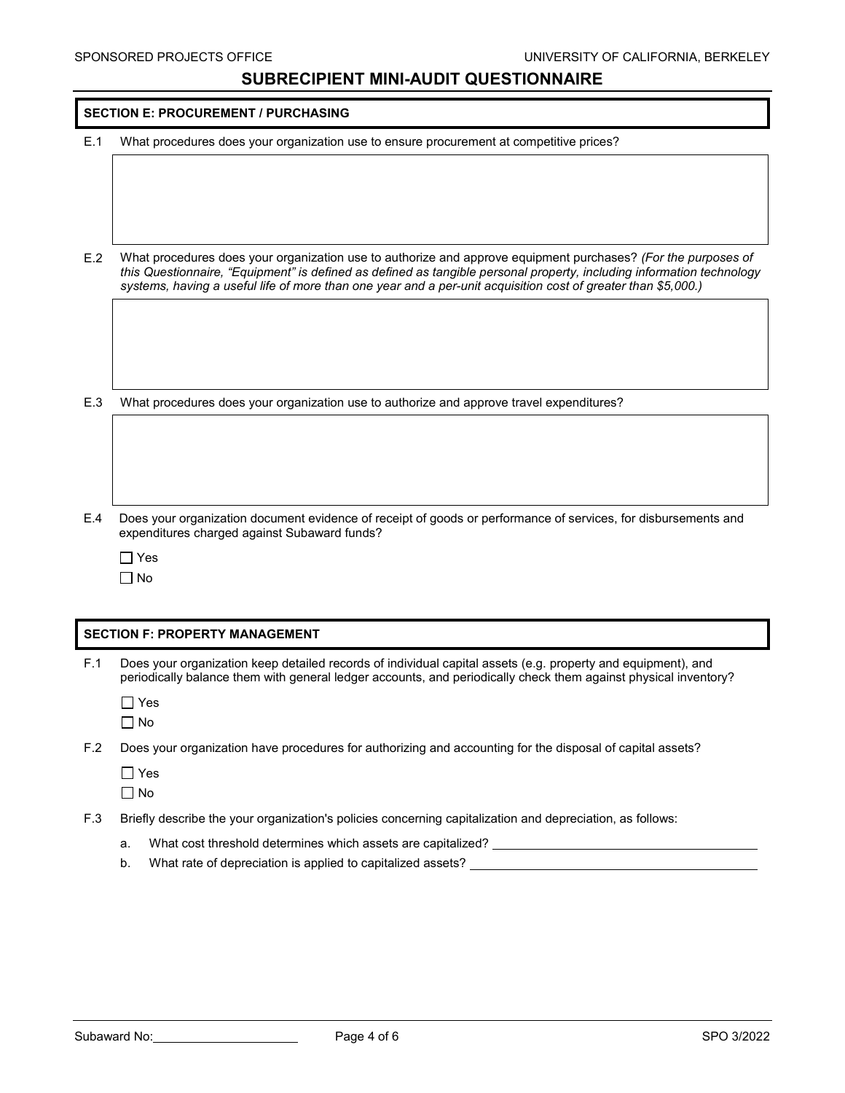|     | <b>SECTION E: PROCUREMENT / PURCHASING</b>                                              |
|-----|-----------------------------------------------------------------------------------------|
| E.1 | What procedures does your organization use to ensure procurement at competitive prices? |

E.2 What procedures does your organization use to authorize and approve equipment purchases? *(For the purposes of this Questionnaire, "Equipment" is defined as defined as tangible personal property, including information technology systems, having a useful life of more than one year and a per-unit acquisition cost of greater than \$5,000.)*

E.3 What procedures does your organization use to authorize and approve travel expenditures?

- E.4 Does your organization document evidence of receipt of goods or performance of services, for disbursements and expenditures charged against Subaward funds?
	- $\Box$  Yes

No

#### **SECTION F: PROPERTY MANAGEMENT**

F.1 Does your organization keep detailed records of individual capital assets (e.g. property and equipment), and periodically balance them with general ledger accounts, and periodically check them against physical inventory?

Yes No

F.2 Does your organization have procedures for authorizing and accounting for the disposal of capital assets?

Yes

No

- F.3 Briefly describe the your organization's policies concerning capitalization and depreciation, as follows:
	- a. What cost threshold determines which assets are capitalized?
	- b. What rate of depreciation is applied to capitalized assets?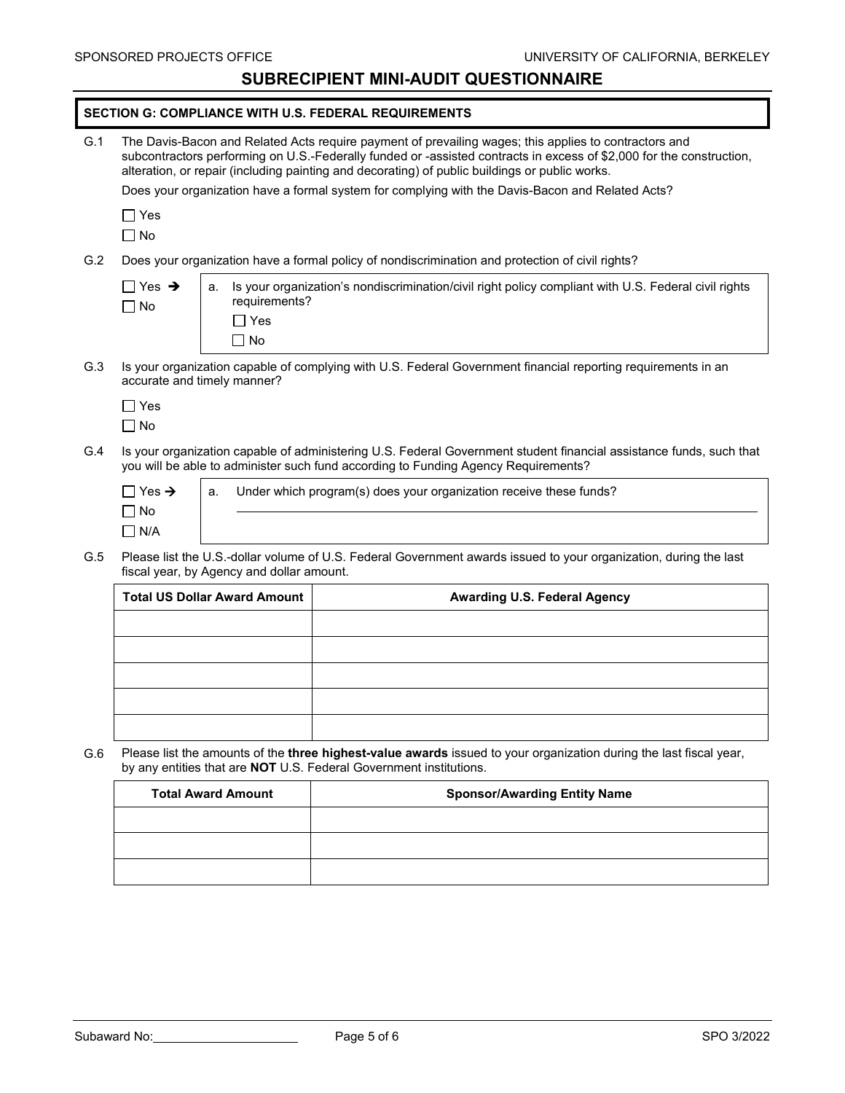|     | <b>SECTION G: COMPLIANCE WITH U.S. FEDERAL REQUIREMENTS</b>                                                                                                                                                                                                                                                                                                                                                                         |                                                |                                                                                                                    |
|-----|-------------------------------------------------------------------------------------------------------------------------------------------------------------------------------------------------------------------------------------------------------------------------------------------------------------------------------------------------------------------------------------------------------------------------------------|------------------------------------------------|--------------------------------------------------------------------------------------------------------------------|
| G.1 | The Davis-Bacon and Related Acts require payment of prevailing wages; this applies to contractors and<br>subcontractors performing on U.S.-Federally funded or -assisted contracts in excess of \$2,000 for the construction,<br>alteration, or repair (including painting and decorating) of public buildings or public works.<br>Does your organization have a formal system for complying with the Davis-Bacon and Related Acts? |                                                |                                                                                                                    |
|     | $\Box$ Yes<br>$\Box$ No                                                                                                                                                                                                                                                                                                                                                                                                             |                                                |                                                                                                                    |
| G.2 | Does your organization have a formal policy of nondiscrimination and protection of civil rights?                                                                                                                                                                                                                                                                                                                                    |                                                |                                                                                                                    |
|     | $\Box$ Yes $\rightarrow$<br>$\Box$ No                                                                                                                                                                                                                                                                                                                                                                                               | a.<br>requirements?<br>$\Box$ Yes<br>$\Box$ No | Is your organization's nondiscrimination/civil right policy compliant with U.S. Federal civil rights               |
| G.3 | Is your organization capable of complying with U.S. Federal Government financial reporting requirements in an<br>accurate and timely manner?                                                                                                                                                                                                                                                                                        |                                                |                                                                                                                    |
|     | $\Box$ Yes<br>$\Box$ No                                                                                                                                                                                                                                                                                                                                                                                                             |                                                |                                                                                                                    |
| G.4 | Is your organization capable of administering U.S. Federal Government student financial assistance funds, such that<br>you will be able to administer such fund according to Funding Agency Requirements?                                                                                                                                                                                                                           |                                                |                                                                                                                    |
|     | $\Box$ Yes $\rightarrow$<br>$\Box$ No<br>$\Box$ N/A                                                                                                                                                                                                                                                                                                                                                                                 | a.                                             | Under which program(s) does your organization receive these funds?                                                 |
| G.5 | Please list the U.S.-dollar volume of U.S. Federal Government awards issued to your organization, during the last<br>fiscal year, by Agency and dollar amount.                                                                                                                                                                                                                                                                      |                                                |                                                                                                                    |
|     | <b>Total US Dollar Award Amount</b>                                                                                                                                                                                                                                                                                                                                                                                                 |                                                | <b>Awarding U.S. Federal Agency</b>                                                                                |
|     |                                                                                                                                                                                                                                                                                                                                                                                                                                     |                                                |                                                                                                                    |
|     |                                                                                                                                                                                                                                                                                                                                                                                                                                     |                                                |                                                                                                                    |
|     |                                                                                                                                                                                                                                                                                                                                                                                                                                     |                                                |                                                                                                                    |
|     |                                                                                                                                                                                                                                                                                                                                                                                                                                     |                                                |                                                                                                                    |
|     |                                                                                                                                                                                                                                                                                                                                                                                                                                     |                                                |                                                                                                                    |
| G.6 |                                                                                                                                                                                                                                                                                                                                                                                                                                     |                                                | Please list the amounts of the three highest-value awards issued to your organization during the last fiscal year, |

by any entities that are **NOT** U.S. Federal Government institutions.

| <b>Total Award Amount</b> | <b>Sponsor/Awarding Entity Name</b> |
|---------------------------|-------------------------------------|
|                           |                                     |
|                           |                                     |
|                           |                                     |